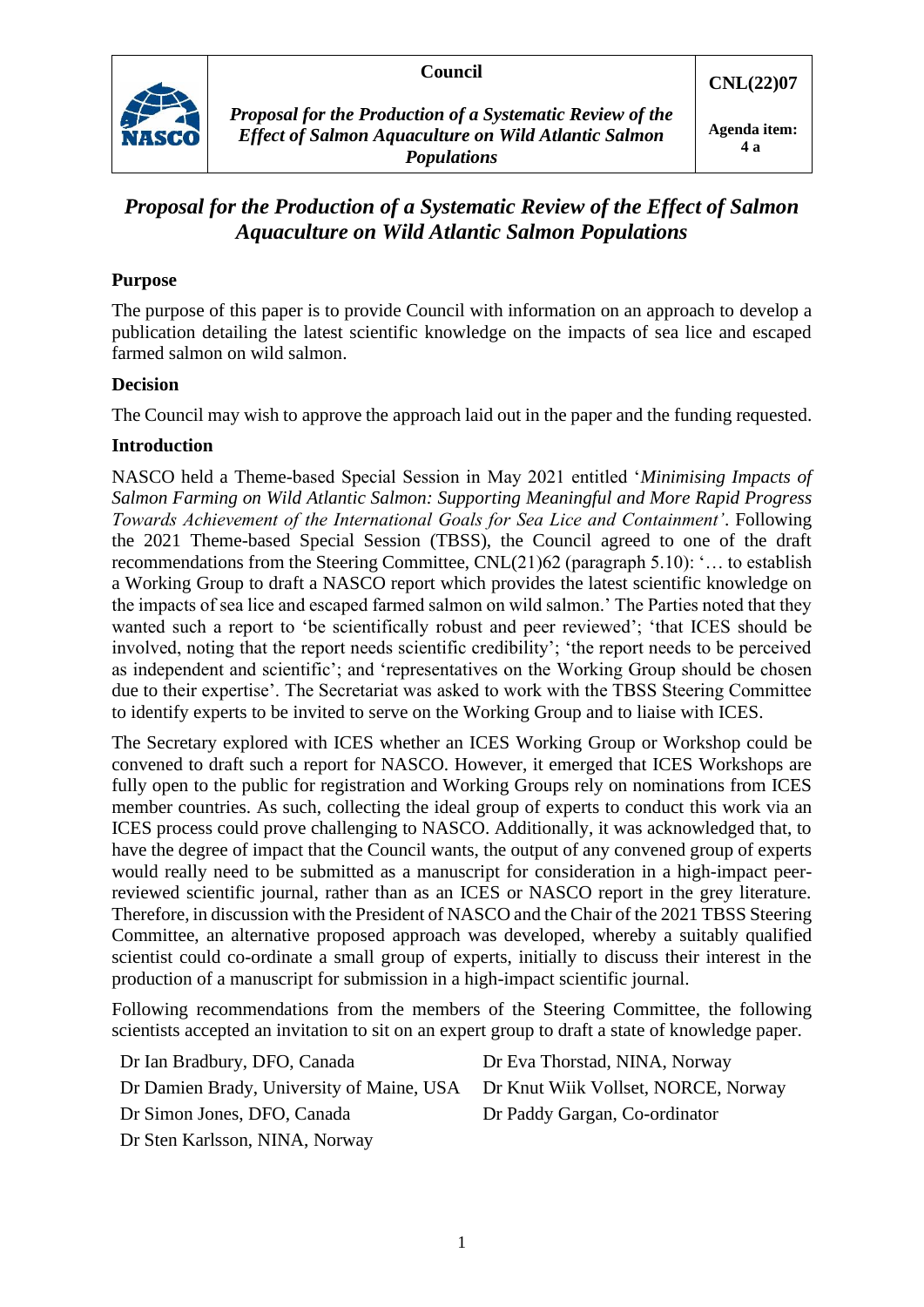#### **Council**



*Proposal for the Production of a Systematic Review of the Effect of Salmon Aquaculture on Wild Atlantic Salmon Populations*

# *Proposal for the Production of a Systematic Review of the Effect of Salmon Aquaculture on Wild Atlantic Salmon Populations*

## **Purpose**

The purpose of this paper is to provide Council with information on an approach to develop a publication detailing the latest scientific knowledge on the impacts of sea lice and escaped farmed salmon on wild salmon.

#### **Decision**

The Council may wish to approve the approach laid out in the paper and the funding requested.

#### **Introduction**

NASCO held a Theme-based Special Session in May 2021 entitled '*Minimising Impacts of Salmon Farming on Wild Atlantic Salmon: Supporting Meaningful and More Rapid Progress Towards Achievement of the International Goals for Sea Lice and Containment'*. Following the 2021 Theme-based Special Session (TBSS), the Council agreed to one of the draft recommendations from the Steering Committee, CNL(21)62 (paragraph 5.10): '… to establish a Working Group to draft a NASCO report which provides the latest scientific knowledge on the impacts of sea lice and escaped farmed salmon on wild salmon.' The Parties noted that they wanted such a report to 'be scientifically robust and peer reviewed'; 'that ICES should be involved, noting that the report needs scientific credibility'; 'the report needs to be perceived as independent and scientific'; and 'representatives on the Working Group should be chosen due to their expertise'. The Secretariat was asked to work with the TBSS Steering Committee to identify experts to be invited to serve on the Working Group and to liaise with ICES.

The Secretary explored with ICES whether an ICES Working Group or Workshop could be convened to draft such a report for NASCO. However, it emerged that ICES Workshops are fully open to the public for registration and Working Groups rely on nominations from ICES member countries. As such, collecting the ideal group of experts to conduct this work via an ICES process could prove challenging to NASCO. Additionally, it was acknowledged that, to have the degree of impact that the Council wants, the output of any convened group of experts would really need to be submitted as a manuscript for consideration in a high-impact peerreviewed scientific journal, rather than as an ICES or NASCO report in the grey literature. Therefore, in discussion with the President of NASCO and the Chair of the 2021 TBSS Steering Committee, an alternative proposed approach was developed, whereby a suitably qualified scientist could co-ordinate a small group of experts, initially to discuss their interest in the production of a manuscript for submission in a high-impact scientific journal.

Following recommendations from the members of the Steering Committee, the following scientists accepted an invitation to sit on an expert group to draft a state of knowledge paper.

| Dr Ian Bradbury, DFO, Canada                                                  | Dr Eva Thorstad, NINA, Norway |
|-------------------------------------------------------------------------------|-------------------------------|
| Dr Damien Brady, University of Maine, USA Dr Knut Wiik Vollset, NORCE, Norway |                               |
| Dr Simon Jones, DFO, Canada                                                   | Dr Paddy Gargan, Co-ordinator |
| Dr Sten Karlsson, NINA, Norway                                                |                               |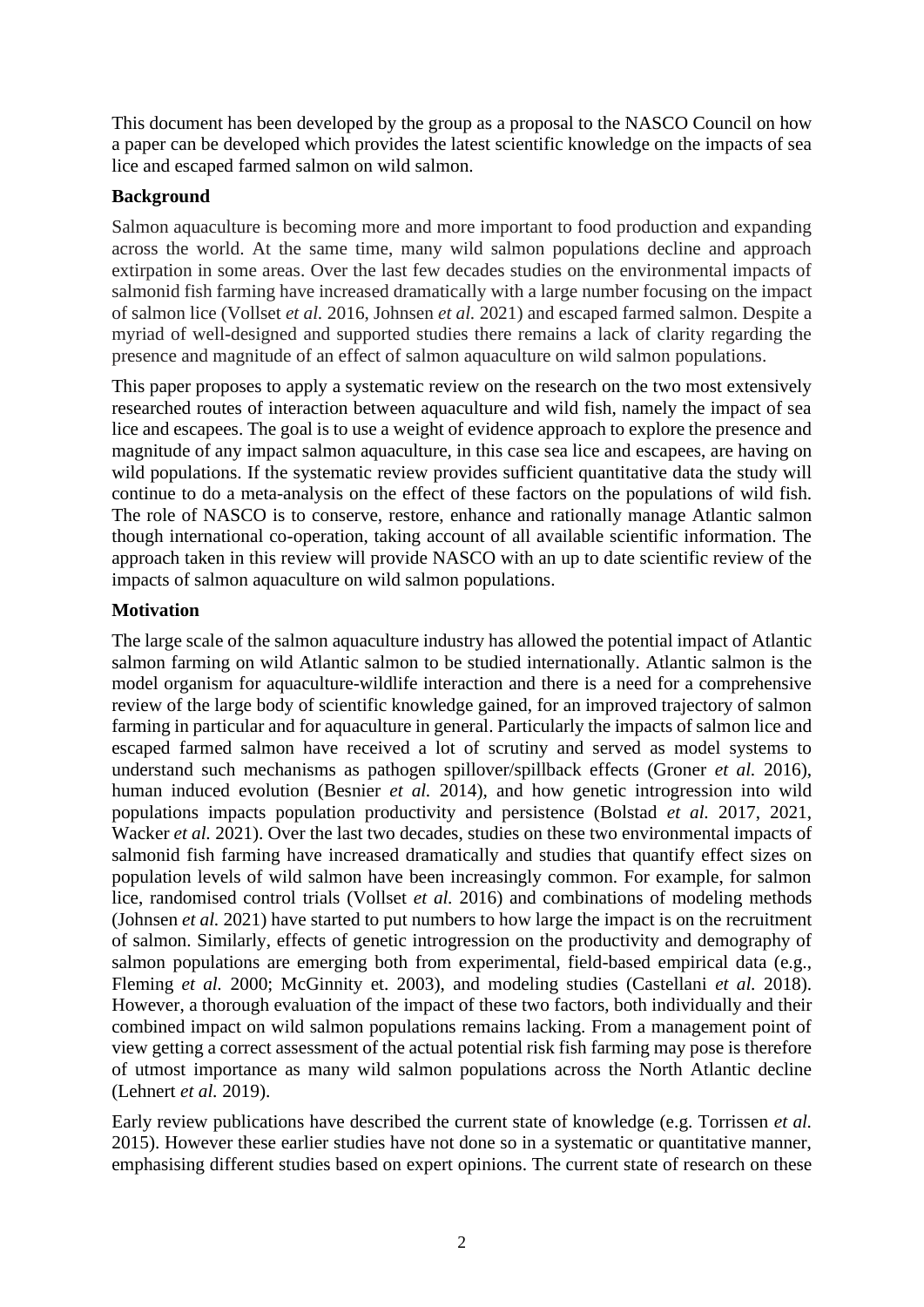This document has been developed by the group as a proposal to the NASCO Council on how a paper can be developed which provides the latest scientific knowledge on the impacts of sea lice and escaped farmed salmon on wild salmon.

### **Background**

Salmon aquaculture is becoming more and more important to food production and expanding across the world. At the same time, many wild salmon populations decline and approach extirpation in some areas. Over the last few decades studies on the environmental impacts of salmonid fish farming have increased dramatically with a large number focusing on the impact of salmon lice (Vollset *et al.* 2016, Johnsen *et al.* 2021) and escaped farmed salmon. Despite a myriad of well-designed and supported studies there remains a lack of clarity regarding the presence and magnitude of an effect of salmon aquaculture on wild salmon populations.

This paper proposes to apply a systematic review on the research on the two most extensively researched routes of interaction between aquaculture and wild fish, namely the impact of sea lice and escapees. The goal is to use a weight of evidence approach to explore the presence and magnitude of any impact salmon aquaculture, in this case sea lice and escapees, are having on wild populations. If the systematic review provides sufficient quantitative data the study will continue to do a meta-analysis on the effect of these factors on the populations of wild fish. The role of NASCO is to conserve, restore, enhance and rationally manage Atlantic salmon though international co-operation, taking account of all available scientific information. The approach taken in this review will provide NASCO with an up to date scientific review of the impacts of salmon aquaculture on wild salmon populations.

## **Motivation**

The large scale of the salmon aquaculture industry has allowed the potential impact of Atlantic salmon farming on wild Atlantic salmon to be studied internationally. Atlantic salmon is the model organism for aquaculture-wildlife interaction and there is a need for a comprehensive review of the large body of scientific knowledge gained, for an improved trajectory of salmon farming in particular and for aquaculture in general. Particularly the impacts of salmon lice and escaped farmed salmon have received a lot of scrutiny and served as model systems to understand such mechanisms as pathogen spillover/spillback effects (Groner *et al.* 2016), human induced evolution (Besnier *et al.* 2014), and how genetic introgression into wild populations impacts population productivity and persistence (Bolstad *et al.* 2017, 2021, Wacker *et al.* 2021). Over the last two decades, studies on these two environmental impacts of salmonid fish farming have increased dramatically and studies that quantify effect sizes on population levels of wild salmon have been increasingly common. For example, for salmon lice, randomised control trials (Vollset *et al.* 2016) and combinations of modeling methods (Johnsen *et al.* 2021) have started to put numbers to how large the impact is on the recruitment of salmon. Similarly, effects of genetic introgression on the productivity and demography of salmon populations are emerging both from experimental, field-based empirical data (e.g., Fleming *et al.* 2000; McGinnity et. 2003), and modeling studies (Castellani *et al.* 2018). However, a thorough evaluation of the impact of these two factors, both individually and their combined impact on wild salmon populations remains lacking. From a management point of view getting a correct assessment of the actual potential risk fish farming may pose is therefore of utmost importance as many wild salmon populations across the North Atlantic decline (Lehnert *et al.* 2019).

Early review publications have described the current state of knowledge (e.g. Torrissen *et al.* 2015). However these earlier studies have not done so in a systematic or quantitative manner, emphasising different studies based on expert opinions. The current state of research on these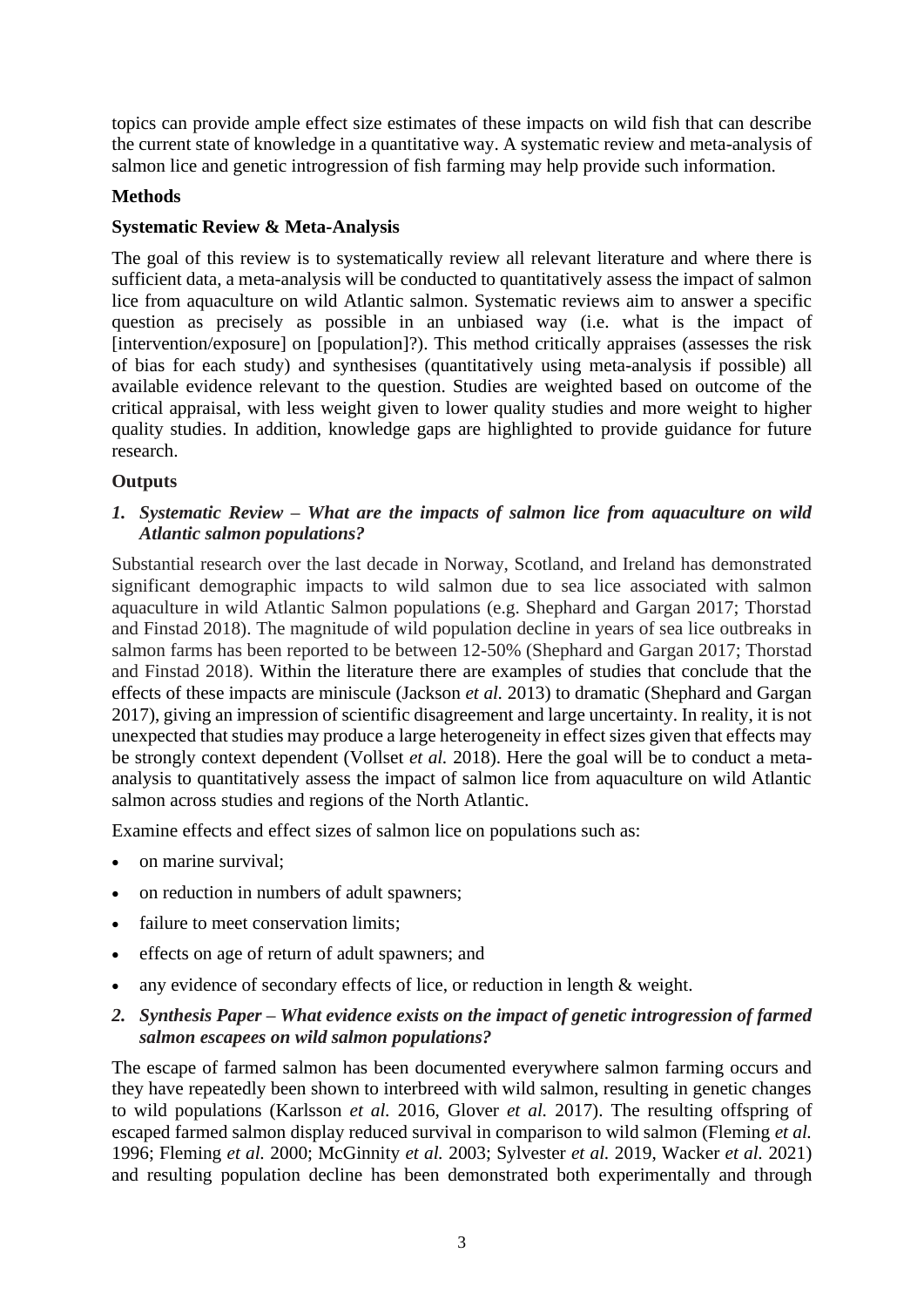topics can provide ample effect size estimates of these impacts on wild fish that can describe the current state of knowledge in a quantitative way. A systematic review and meta-analysis of salmon lice and genetic introgression of fish farming may help provide such information.

### **Methods**

### **Systematic Review & Meta-Analysis**

The goal of this review is to systematically review all relevant literature and where there is sufficient data, a meta-analysis will be conducted to quantitatively assess the impact of salmon lice from aquaculture on wild Atlantic salmon. Systematic reviews aim to answer a specific question as precisely as possible in an unbiased way (i.e. what is the impact of [intervention/exposure] on [population]?). This method critically appraises (assesses the risk of bias for each study) and synthesises (quantitatively using meta-analysis if possible) all available evidence relevant to the question. Studies are weighted based on outcome of the critical appraisal, with less weight given to lower quality studies and more weight to higher quality studies. In addition, knowledge gaps are highlighted to provide guidance for future research.

#### **Outputs**

*1. Systematic Review – What are the impacts of salmon lice from aquaculture on wild Atlantic salmon populations?*

Substantial research over the last decade in Norway, Scotland, and Ireland has demonstrated significant demographic impacts to wild salmon due to sea lice associated with salmon aquaculture in wild Atlantic Salmon populations (e.g. Shephard and Gargan 2017; Thorstad and Finstad 2018). The magnitude of wild population decline in years of sea lice outbreaks in salmon farms has been reported to be between 12-50% (Shephard and Gargan 2017; Thorstad and Finstad 2018). Within the literature there are examples of studies that conclude that the effects of these impacts are miniscule (Jackson *et al.* 2013) to dramatic (Shephard and Gargan 2017), giving an impression of scientific disagreement and large uncertainty. In reality, it is not unexpected that studies may produce a large heterogeneity in effect sizes given that effects may be strongly context dependent (Vollset *et al.* 2018). Here the goal will be to conduct a metaanalysis to quantitatively assess the impact of salmon lice from aquaculture on wild Atlantic salmon across studies and regions of the North Atlantic.

Examine effects and effect sizes of salmon lice on populations such as:

- on marine survival:
- on reduction in numbers of adult spawners;
- failure to meet conservation limits;
- effects on age of return of adult spawners; and
- any evidence of secondary effects of lice, or reduction in length & weight.
- *2. Synthesis Paper – What evidence exists on the impact of genetic introgression of farmed salmon escapees on wild salmon populations?*

The escape of farmed salmon has been documented everywhere salmon farming occurs and they have repeatedly been shown to interbreed with wild salmon, resulting in genetic changes to wild populations (Karlsson *et al.* 2016, Glover *et al.* 2017). The resulting offspring of escaped farmed salmon display reduced survival in comparison to wild salmon (Fleming *et al.* 1996; Fleming *et al.* 2000; McGinnity *et al.* 2003; Sylvester *et al.* 2019, Wacker *et al.* 2021) and resulting population decline has been demonstrated both experimentally and through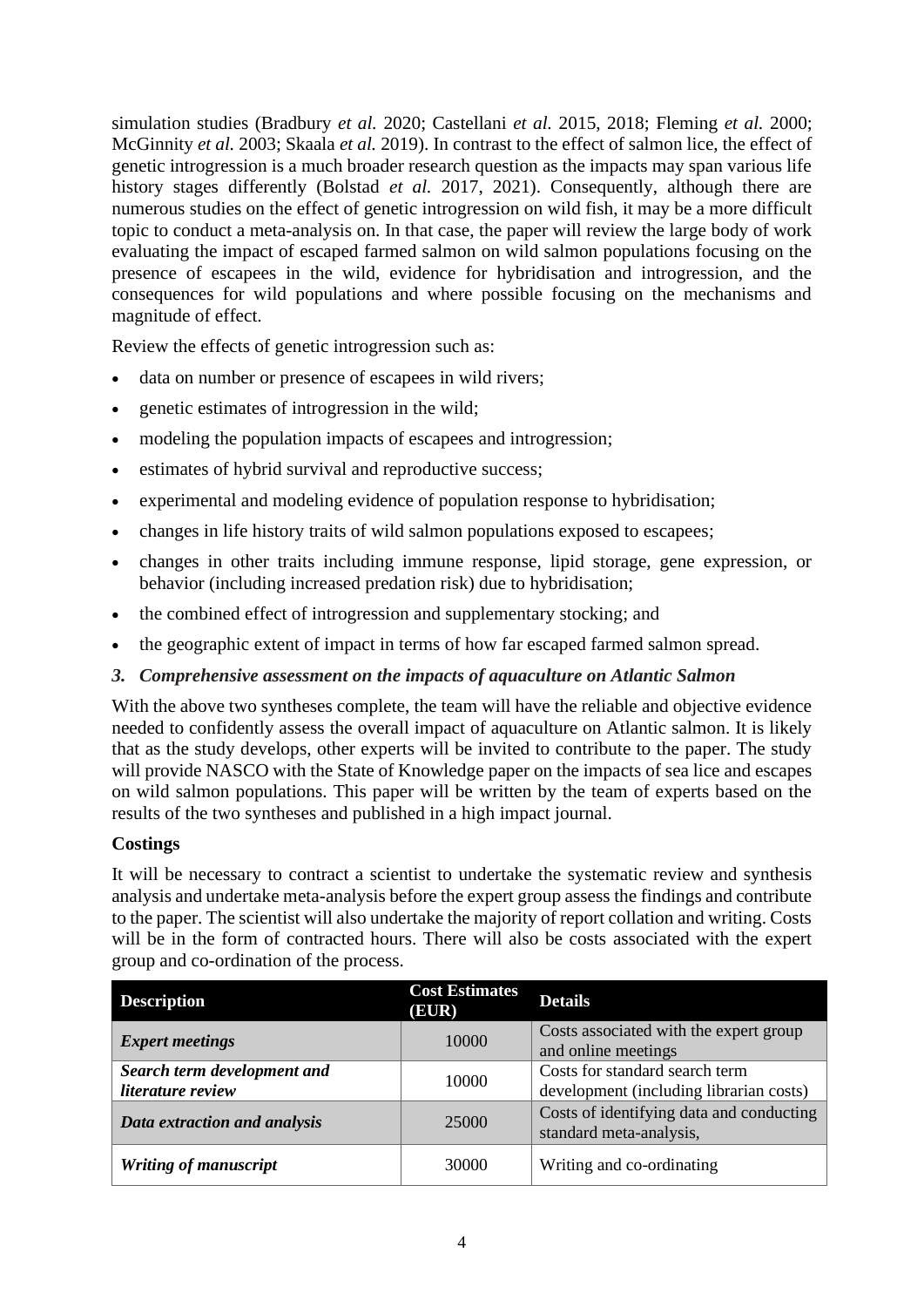simulation studies (Bradbury *et al.* 2020; Castellani *et al.* 2015, 2018; Fleming *et al.* 2000; McGinnity *et al.* 2003; Skaala *et al.* 2019). In contrast to the effect of salmon lice, the effect of genetic introgression is a much broader research question as the impacts may span various life history stages differently (Bolstad *et al.* 2017, 2021). Consequently, although there are numerous studies on the effect of genetic introgression on wild fish, it may be a more difficult topic to conduct a meta-analysis on. In that case, the paper will review the large body of work evaluating the impact of escaped farmed salmon on wild salmon populations focusing on the presence of escapees in the wild, evidence for hybridisation and introgression, and the consequences for wild populations and where possible focusing on the mechanisms and magnitude of effect.

Review the effects of genetic introgression such as:

- data on number or presence of escapees in wild rivers;
- genetic estimates of introgression in the wild;
- modeling the population impacts of escapees and introgression;
- estimates of hybrid survival and reproductive success;
- experimental and modeling evidence of population response to hybridisation;
- changes in life history traits of wild salmon populations exposed to escapees;
- changes in other traits including immune response, lipid storage, gene expression, or behavior (including increased predation risk) due to hybridisation;
- the combined effect of introgression and supplementary stocking; and
- the geographic extent of impact in terms of how far escaped farmed salmon spread.
- *3. Comprehensive assessment on the impacts of aquaculture on Atlantic Salmon*

With the above two syntheses complete, the team will have the reliable and objective evidence needed to confidently assess the overall impact of aquaculture on Atlantic salmon. It is likely that as the study develops, other experts will be invited to contribute to the paper. The study will provide NASCO with the State of Knowledge paper on the impacts of sea lice and escapes on wild salmon populations. This paper will be written by the team of experts based on the results of the two syntheses and published in a high impact journal.

#### **Costings**

It will be necessary to contract a scientist to undertake the systematic review and synthesis analysis and undertake meta-analysis before the expert group assess the findings and contribute to the paper. The scientist will also undertake the majority of report collation and writing. Costs will be in the form of contracted hours. There will also be costs associated with the expert group and co-ordination of the process.

| <b>Description</b>                               | <b>Cost Estimates</b><br>(EUR) | <b>Details</b>                                                            |
|--------------------------------------------------|--------------------------------|---------------------------------------------------------------------------|
| <b>Expert meetings</b>                           | 10000                          | Costs associated with the expert group<br>and online meetings             |
| Search term development and<br>literature review | 10000                          | Costs for standard search term<br>development (including librarian costs) |
| Data extraction and analysis                     | 25000                          | Costs of identifying data and conducting<br>standard meta-analysis,       |
| Writing of manuscript                            | 30000                          | Writing and co-ordinating                                                 |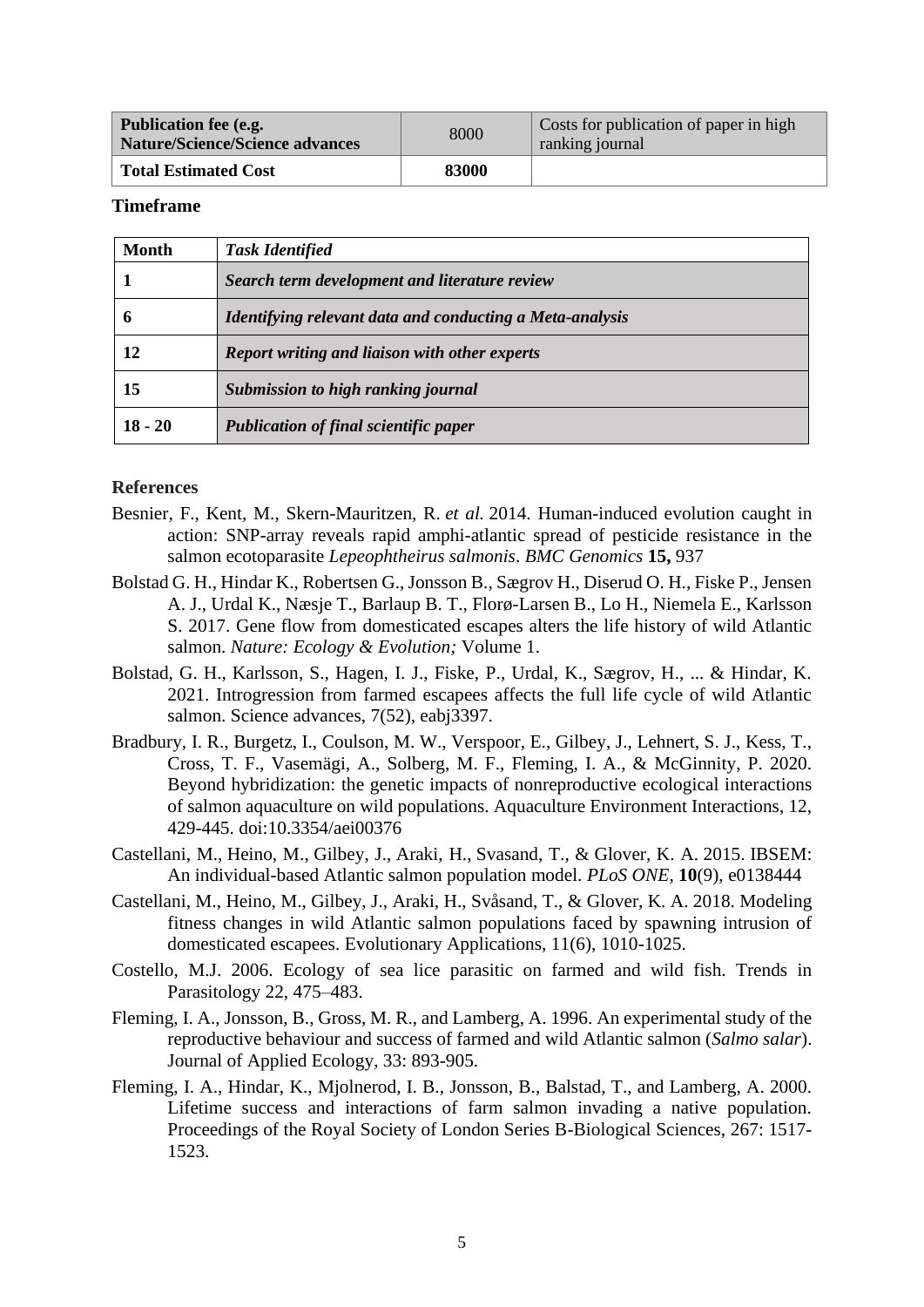| <b>Publication fee (e.g.</b><br><b>Nature/Science/Science advances</b> | 8000  | Costs for publication of paper in high<br>ranking journal |
|------------------------------------------------------------------------|-------|-----------------------------------------------------------|
| <b>Total Estimated Cost</b>                                            | 83000 |                                                           |

#### **Timeframe**

| <b>Month</b> | <b>Task Identified</b>                                   |
|--------------|----------------------------------------------------------|
|              | Search term development and literature review            |
| h            | Identifying relevant data and conducting a Meta-analysis |
| 12           | Report writing and liaison with other experts            |
| 15           | Submission to high ranking journal                       |
| $18 - 20$    | <b>Publication of final scientific paper</b>             |

#### **References**

- Besnier, F., Kent, M., Skern-Mauritzen, R. *et al.* 2014. Human-induced evolution caught in action: SNP-array reveals rapid amphi-atlantic spread of pesticide resistance in the salmon ecotoparasite *Lepeophtheirus salmonis*. *BMC Genomics* **15,** 937
- Bolstad G. H., Hindar K., Robertsen G., Jonsson B., Sægrov H., Diserud O. H., Fiske P., Jensen A. J., Urdal K., Næsje T., Barlaup B. T., Florø-Larsen B., Lo H., Niemela E., Karlsson S. 2017. Gene flow from domesticated escapes alters the life history of wild Atlantic salmon. *Nature: Ecology & Evolution;* Volume 1.
- Bolstad, G. H., Karlsson, S., Hagen, I. J., Fiske, P., Urdal, K., Sægrov, H., ... & Hindar, K. 2021. Introgression from farmed escapees affects the full life cycle of wild Atlantic salmon. Science advances, 7(52), eabj3397.
- Bradbury, I. R., Burgetz, I., Coulson, M. W., Verspoor, E., Gilbey, J., Lehnert, S. J., Kess, T., Cross, T. F., Vasemägi, A., Solberg, M. F., Fleming, I. A., & McGinnity, P. 2020. Beyond hybridization: the genetic impacts of nonreproductive ecological interactions of salmon aquaculture on wild populations. Aquaculture Environment Interactions, 12, 429-445. doi:10.3354/aei00376
- Castellani, M., Heino, M., Gilbey, J., Araki, H., Svasand, T., & Glover, K. A. 2015. IBSEM: An individual-based Atlantic salmon population model. *PLoS ONE*, **10**(9), e0138444
- Castellani, M., Heino, M., Gilbey, J., Araki, H., Svåsand, T., & Glover, K. A. 2018. Modeling fitness changes in wild Atlantic salmon populations faced by spawning intrusion of domesticated escapees. Evolutionary Applications, 11(6), 1010-1025.
- Costello, M.J. 2006. Ecology of sea lice parasitic on farmed and wild fish. Trends in Parasitology 22, 475–483.
- Fleming, I. A., Jonsson, B., Gross, M. R., and Lamberg, A. 1996. An experimental study of the reproductive behaviour and success of farmed and wild Atlantic salmon (*Salmo salar*). Journal of Applied Ecology, 33: 893-905.
- Fleming, I. A., Hindar, K., Mjolnerod, I. B., Jonsson, B., Balstad, T., and Lamberg, A. 2000. Lifetime success and interactions of farm salmon invading a native population. Proceedings of the Royal Society of London Series B-Biological Sciences, 267: 1517- 1523.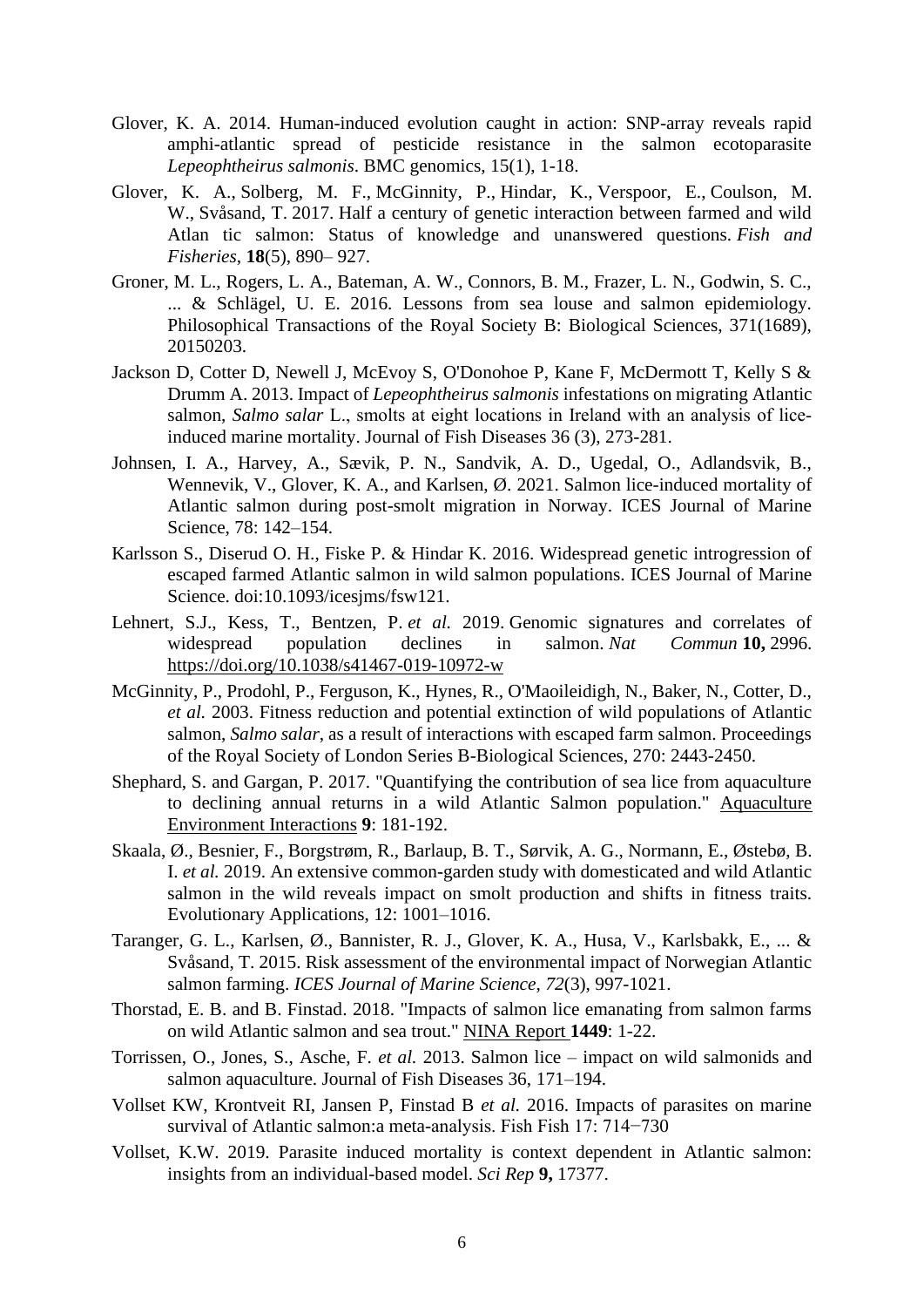- Glover, K. A. 2014. Human-induced evolution caught in action: SNP-array reveals rapid amphi-atlantic spread of pesticide resistance in the salmon ecotoparasite *Lepeophtheirus salmonis*. BMC genomics, 15(1), 1-18.
- Glover, K. A., Solberg, M. F., McGinnity, P., Hindar, K., Verspoor, E., Coulson, M. W., Svåsand, T. 2017. Half a century of genetic interaction between farmed and wild Atlan tic salmon: Status of knowledge and unanswered questions. *Fish and Fisheries*, **18**(5), 890– 927.
- Groner, M. L., Rogers, L. A., Bateman, A. W., Connors, B. M., Frazer, L. N., Godwin, S. C., ... & Schlägel, U. E. 2016. Lessons from sea louse and salmon epidemiology. Philosophical Transactions of the Royal Society B: Biological Sciences, 371(1689), 20150203.
- Jackson D, Cotter D, Newell J, McEvoy S, O'Donohoe P, Kane F, McDermott T, Kelly S & Drumm A. 2013. Impact of *Lepeophtheirus salmonis* infestations on migrating Atlantic salmon, *Salmo salar* L., smolts at eight locations in Ireland with an analysis of liceinduced marine mortality. Journal of Fish Diseases 36 (3), 273-281.
- Johnsen, I. A., Harvey, A., Sævik, P. N., Sandvik, A. D., Ugedal, O., Adlandsvik, B., Wennevik, V., Glover, K. A., and Karlsen, Ø. 2021. Salmon lice-induced mortality of Atlantic salmon during post-smolt migration in Norway. ICES Journal of Marine Science, 78: 142–154.
- Karlsson S., Diserud O. H., Fiske P. & Hindar K. 2016. Widespread genetic introgression of escaped farmed Atlantic salmon in wild salmon populations. ICES Journal of Marine Science. doi:10.1093/icesjms/fsw121.
- Lehnert, S.J., Kess, T., Bentzen, P. *et al.* 2019. Genomic signatures and correlates of widespread population declines in salmon. *Nat Commun* **10,** 2996. <https://doi.org/10.1038/s41467-019-10972-w>
- McGinnity, P., Prodohl, P., Ferguson, K., Hynes, R., O'Maoileidigh, N., Baker, N., Cotter, D., *et al.* 2003. Fitness reduction and potential extinction of wild populations of Atlantic salmon, *Salmo salar*, as a result of interactions with escaped farm salmon. Proceedings of the Royal Society of London Series B-Biological Sciences, 270: 2443-2450.
- Shephard, S. and Gargan, P. 2017. "Quantifying the contribution of sea lice from aquaculture to declining annual returns in a wild Atlantic Salmon population." Aquaculture Environment Interactions **9**: 181-192.
- Skaala, Ø., Besnier, F., Borgstrøm, R., Barlaup, B. T., Sørvik, A. G., Normann, E., Østebø, B. I. *et al.* 2019. An extensive common-garden study with domesticated and wild Atlantic salmon in the wild reveals impact on smolt production and shifts in fitness traits. Evolutionary Applications, 12: 1001–1016.
- Taranger, G. L., Karlsen, Ø., Bannister, R. J., Glover, K. A., Husa, V., Karlsbakk, E., ... & Svåsand, T. 2015. Risk assessment of the environmental impact of Norwegian Atlantic salmon farming. *ICES Journal of Marine Science*, *72*(3), 997-1021.
- Thorstad, E. B. and B. Finstad. 2018. "Impacts of salmon lice emanating from salmon farms on wild Atlantic salmon and sea trout." NINA Report **1449**: 1-22.
- Torrissen, O., Jones, S., Asche, F. *et al.* 2013. Salmon lice impact on wild salmonids and salmon aquaculture. Journal of Fish Diseases 36, 171–194.
- Vollset KW, Krontveit RI, Jansen P, Finstad B *et al.* 2016. Impacts of parasites on marine survival of Atlantic salmon:a meta-analysis. Fish Fish 17: 714−730
- Vollset, K.W. 2019. Parasite induced mortality is context dependent in Atlantic salmon: insights from an individual-based model. *Sci Rep* **9,** 17377.